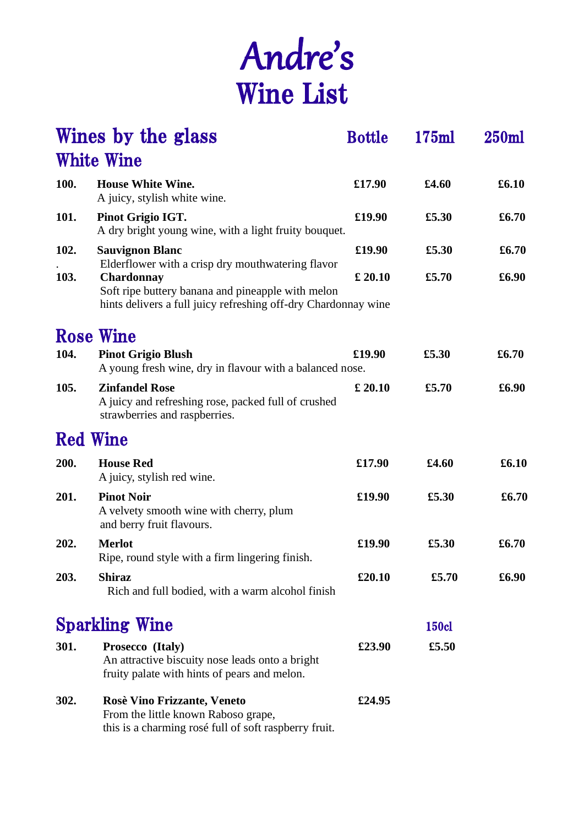## Andre's Wine List

|                 | Wines by the glass                                                                                                                                                                            | <b>Bottle</b> | 175ml        | 250ml |
|-----------------|-----------------------------------------------------------------------------------------------------------------------------------------------------------------------------------------------|---------------|--------------|-------|
|                 | <b>White Wine</b>                                                                                                                                                                             |               |              |       |
| 100.            | <b>House White Wine.</b><br>A juicy, stylish white wine.                                                                                                                                      | £17.90        | £4.60        | £6.10 |
| 101.            | Pinot Grigio IGT.<br>A dry bright young wine, with a light fruity bouquet.                                                                                                                    | £19.90        | £5.30        | £6.70 |
| 102.            | <b>Sauvignon Blanc</b>                                                                                                                                                                        | £19.90        | £5.30        | £6.70 |
| 103.            | Elderflower with a crisp dry mouthwatering flavor<br><b>Chardonnay</b><br>Soft ripe buttery banana and pineapple with melon<br>hints delivers a full juicy refreshing off-dry Chardonnay wine | £ 20.10       | £5.70        | £6.90 |
|                 | <b>Rose Wine</b>                                                                                                                                                                              |               |              |       |
| 104.            | <b>Pinot Grigio Blush</b><br>A young fresh wine, dry in flavour with a balanced nose.                                                                                                         | £19.90        | £5.30        | £6.70 |
| 105.            | <b>Zinfandel Rose</b><br>A juicy and refreshing rose, packed full of crushed<br>strawberries and raspberries.                                                                                 | £ 20.10       | £5.70        | £6.90 |
| <b>Red Wine</b> |                                                                                                                                                                                               |               |              |       |
| 200.            | <b>House Red</b><br>A juicy, stylish red wine.                                                                                                                                                | £17.90        | £4.60        | £6.10 |
| 201.            | <b>Pinot Noir</b><br>A velvety smooth wine with cherry, plum<br>and berry fruit flavours.                                                                                                     | £19.90        | £5.30        | £6.70 |
| 202.            | <b>Merlot</b><br>Ripe, round style with a firm lingering finish.                                                                                                                              | £19.90        | £5.30        | £6.70 |
| 203.            | <b>Shiraz</b><br>Rich and full bodied, with a warm alcohol finish                                                                                                                             | £20.10        | £5.70        | £6.90 |
|                 | <b>Sparkling Wine</b>                                                                                                                                                                         |               | <b>150cl</b> |       |
| 301.            | Prosecco (Italy)<br>An attractive biscuity nose leads onto a bright<br>fruity palate with hints of pears and melon.                                                                           | £23.90        | £5.50        |       |
| 302.            | <b>Rosè Vino Frizzante, Veneto</b><br>From the little known Raboso grape,<br>this is a charming rosé full of soft raspberry fruit.                                                            | £24.95        |              |       |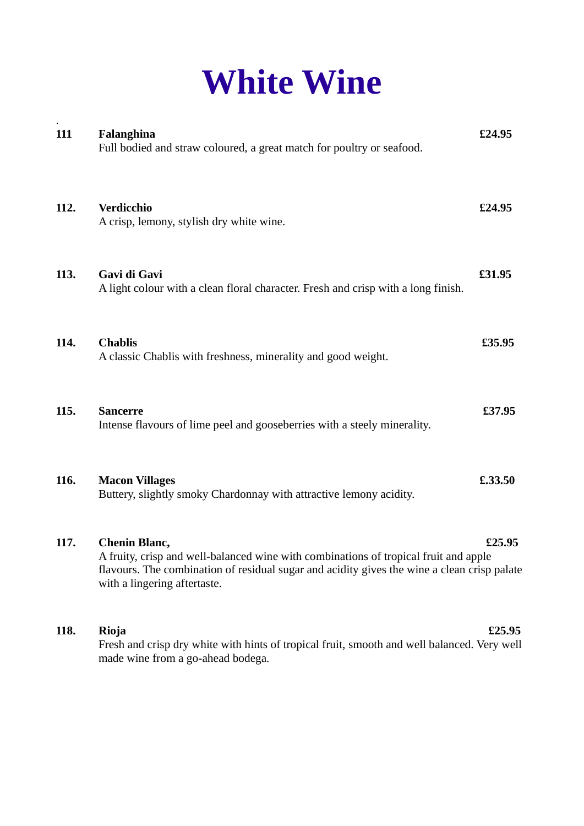## **White Wine**

| 111  | Falanghina<br>Full bodied and straw coloured, a great match for poultry or seafood.                                                                                                                                                         | £24.95  |
|------|---------------------------------------------------------------------------------------------------------------------------------------------------------------------------------------------------------------------------------------------|---------|
| 112. | Verdicchio<br>A crisp, lemony, stylish dry white wine.                                                                                                                                                                                      | £24.95  |
| 113. | Gavi di Gavi<br>A light colour with a clean floral character. Fresh and crisp with a long finish.                                                                                                                                           | £31.95  |
| 114. | <b>Chablis</b><br>A classic Chablis with freshness, minerality and good weight.                                                                                                                                                             | £35.95  |
| 115. | <b>Sancerre</b><br>Intense flavours of lime peel and gooseberries with a steely minerality.                                                                                                                                                 | £37.95  |
| 116. | <b>Macon Villages</b><br>Buttery, slightly smoky Chardonnay with attractive lemony acidity.                                                                                                                                                 | £.33.50 |
| 117. | <b>Chenin Blanc,</b><br>A fruity, crisp and well-balanced wine with combinations of tropical fruit and apple<br>flavours. The combination of residual sugar and acidity gives the wine a clean crisp palate<br>with a lingering aftertaste. | £25.95  |
| 118. | Rioja<br>Fresh and crisp dry white with hints of tropical fruit, smooth and well balanced. Very well<br>made wine from a go-ahead bodega.                                                                                                   | £25.95  |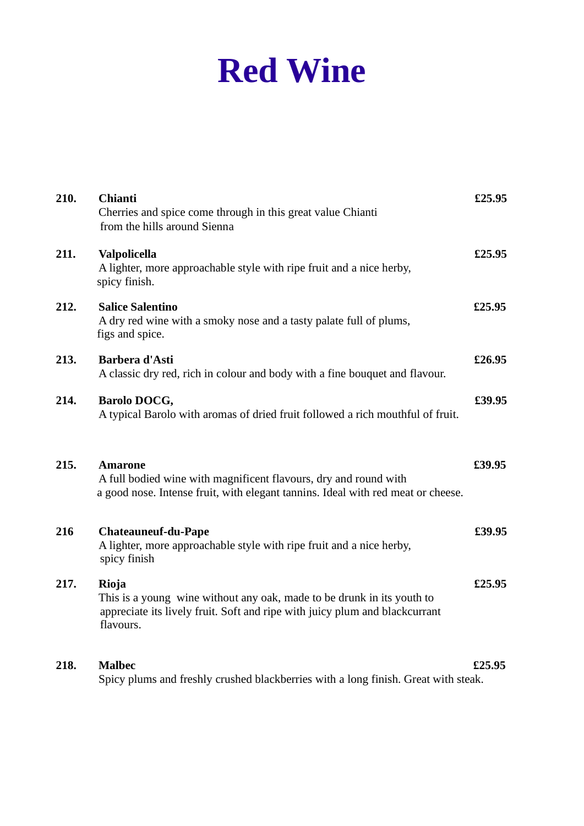## **Red Wine**

| 210. | <b>Chianti</b><br>Cherries and spice come through in this great value Chianti<br>from the hills around Sienna<br><b>Valpolicella</b><br>A lighter, more approachable style with ripe fruit and a nice herby,<br>spicy finish. |        |
|------|-------------------------------------------------------------------------------------------------------------------------------------------------------------------------------------------------------------------------------|--------|
| 211. |                                                                                                                                                                                                                               |        |
| 212. | <b>Salice Salentino</b><br>A dry red wine with a smoky nose and a tasty palate full of plums,<br>figs and spice.                                                                                                              | £25.95 |
| 213. | Barbera d'Asti<br>A classic dry red, rich in colour and body with a fine bouquet and flavour.                                                                                                                                 | £26.95 |
| 214. | Barolo DOCG,<br>A typical Barolo with aromas of dried fruit followed a rich mouthful of fruit.                                                                                                                                | £39.95 |
| 215. | <b>Amarone</b><br>A full bodied wine with magnificent flavours, dry and round with<br>a good nose. Intense fruit, with elegant tannins. Ideal with red meat or cheese.                                                        | £39.95 |
| 216  | <b>Chateauneuf-du-Pape</b><br>A lighter, more approachable style with ripe fruit and a nice herby,<br>spicy finish                                                                                                            | £39.95 |
| 217. | Rioja<br>This is a young wine without any oak, made to be drunk in its youth to<br>appreciate its lively fruit. Soft and ripe with juicy plum and blackcurrant<br>flavours.                                                   |        |
| 218. | <b>Malbec</b><br>Spicy plums and freshly crushed blackberries with a long finish. Great with steak.                                                                                                                           | £25.95 |